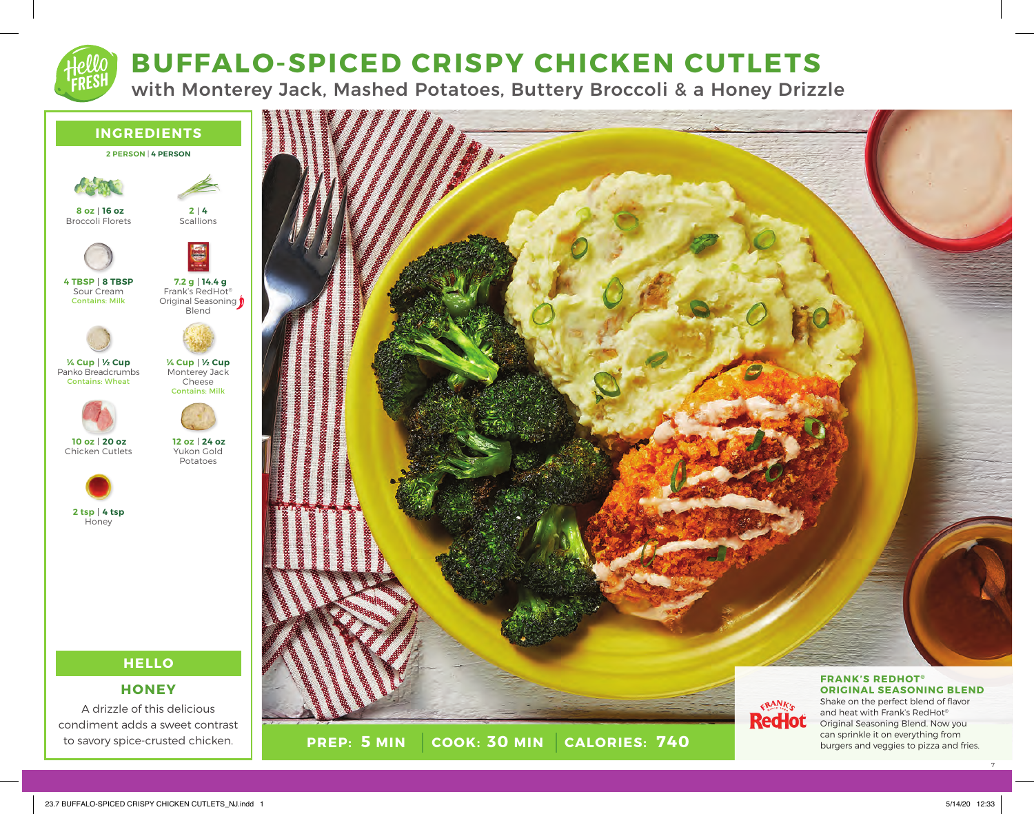# **BUFFALO-SPICED CRISPY CHICKEN CUTLETS**

with Monterey Jack, Mashed Potatoes, Buttery Broccoli & a Honey Drizzle





7